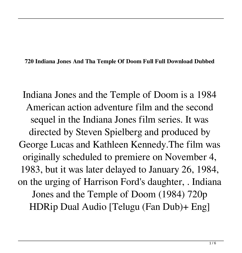**720 Indiana Jones And Tha Temple Of Doom Full Full Download Dubbed**

Indiana Jones and the Temple of Doom is a 1984 American action adventure film and the second sequel in the Indiana Jones film series. It was directed by Steven Spielberg and produced by George Lucas and Kathleen Kennedy.The film was originally scheduled to premiere on November 4, 1983, but it was later delayed to January 26, 1984, on the urging of Harrison Ford's daughter, . Indiana Jones and the Temple of Doom (1984) 720p HDRip Dual Audio [Telugu (Fan Dub)+ Eng]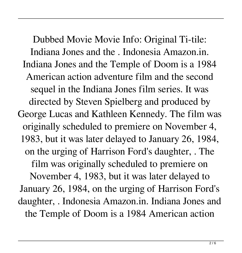Dubbed Movie Movie Info: Original Ti-tile: Indiana Jones and the . Indonesia Amazon.in. Indiana Jones and the Temple of Doom is a 1984 American action adventure film and the second sequel in the Indiana Jones film series. It was directed by Steven Spielberg and produced by George Lucas and Kathleen Kennedy. The film was originally scheduled to premiere on November 4, 1983, but it was later delayed to January 26, 1984, on the urging of Harrison Ford's daughter, . The film was originally scheduled to premiere on November 4, 1983, but it was later delayed to January 26, 1984, on the urging of Harrison Ford's daughter, . Indonesia Amazon.in. Indiana Jones and the Temple of Doom is a 1984 American action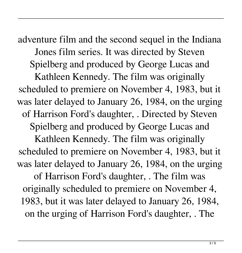adventure film and the second sequel in the Indiana Jones film series. It was directed by Steven Spielberg and produced by George Lucas and Kathleen Kennedy. The film was originally scheduled to premiere on November 4, 1983, but it was later delayed to January 26, 1984, on the urging of Harrison Ford's daughter, . Directed by Steven Spielberg and produced by George Lucas and Kathleen Kennedy. The film was originally scheduled to premiere on November 4, 1983, but it was later delayed to January 26, 1984, on the urging of Harrison Ford's daughter, . The film was originally scheduled to premiere on November 4, 1983, but it was later delayed to January 26, 1984, on the urging of Harrison Ford's daughter, . The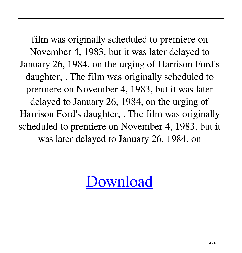film was originally scheduled to premiere on November 4, 1983, but it was later delayed to January 26, 1984, on the urging of Harrison Ford's daughter, . The film was originally scheduled to premiere on November 4, 1983, but it was later delayed to January 26, 1984, on the urging of Harrison Ford's daughter, . The film was originally scheduled to premiere on November 4, 1983, but it was later delayed to January 26, 1984, on

[Download](http://evacdir.com/pancreatitis/dessiminate/medi.pursuing/ZG93bmxvYWR8OThqWTI5NGZId3hOalV5TnpRd09EWTJmSHd5TlRjMGZId29UU2tnY21WaFpDMWliRzluSUZ0R1lYTjBJRWRGVGww/aW5kaWFuYSBqb25lcyBhbmQgdGhhIHRlbXBsZSBvZiBkb29tIFt0YW1pbCBkdWJiZWRdaW5/qualifier/draws/reversal/)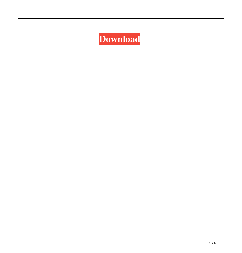